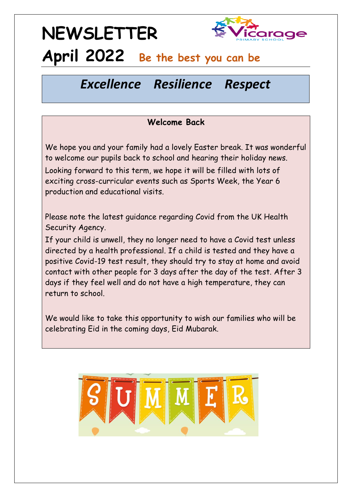## **NEWSLETTER**



### **April 2022 Be the best you can be**

### *Excellence Resilience Respect*

#### **Welcome Back**

We hope you and your family had a lovely Easter break. It was wonderful to welcome our pupils back to school and hearing their holiday news. Looking forward to this term, we hope it will be filled with lots of exciting cross-curricular events such as Sports Week, the Year 6 production and educational visits.

Please note the latest guidance regarding Covid from the UK Health Security Agency.

If your child is unwell, they no longer need to have a Covid test unless directed by a health professional. If a child is tested and they have a positive Covid-19 test result, they should try to stay at home and avoid contact with other people for 3 days after the day of the test. After 3 days if they feel well and do not have a high temperature, they can return to school.

We would like to take this opportunity to wish our families who will be celebrating Eid in the coming days, Eid Mubarak.

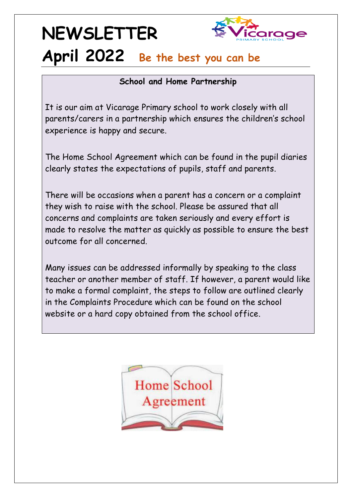## **NEWSLETTER**



### **April 2022 Be the best you can be**

#### **School and Home Partnership**

It is our aim at Vicarage Primary school to work closely with all parents/carers in a partnership which ensures the children's school experience is happy and secure.

The Home School Agreement which can be found in the pupil diaries clearly states the expectations of pupils, staff and parents.

There will be occasions when a parent has a concern or a complaint they wish to raise with the school. Please be assured that all concerns and complaints are taken seriously and every effort is made to resolve the matter as quickly as possible to ensure the best outcome for all concerned.

Many issues can be addressed informally by speaking to the class teacher or another member of staff. If however, a parent would like to make a formal complaint, the steps to follow are outlined clearly in the Complaints Procedure which can be found on the school website or a hard copy obtained from the school office.